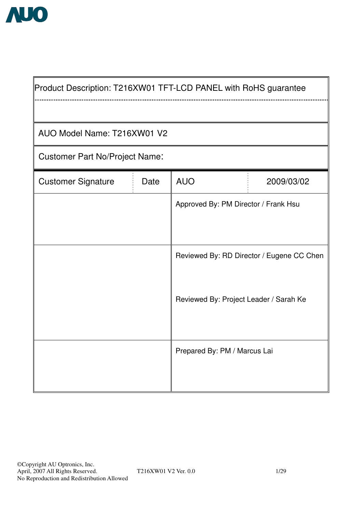

'n

| Product Description: T216XW01 TFT-LCD PANEL with RoHS guarantee |      |                                        |                                           |  |  |  |  |  |  |  |  |
|-----------------------------------------------------------------|------|----------------------------------------|-------------------------------------------|--|--|--|--|--|--|--|--|
|                                                                 |      |                                        |                                           |  |  |  |  |  |  |  |  |
| AUO Model Name: T216XW01 V2                                     |      |                                        |                                           |  |  |  |  |  |  |  |  |
| <b>Customer Part No/Project Name:</b>                           |      |                                        |                                           |  |  |  |  |  |  |  |  |
| <b>Customer Signature</b>                                       | Date | <b>AUO</b>                             | 2009/03/02                                |  |  |  |  |  |  |  |  |
|                                                                 |      | Approved By: PM Director / Frank Hsu   |                                           |  |  |  |  |  |  |  |  |
|                                                                 |      |                                        |                                           |  |  |  |  |  |  |  |  |
|                                                                 |      |                                        | Reviewed By: RD Director / Eugene CC Chen |  |  |  |  |  |  |  |  |
|                                                                 |      |                                        |                                           |  |  |  |  |  |  |  |  |
|                                                                 |      | Reviewed By: Project Leader / Sarah Ke |                                           |  |  |  |  |  |  |  |  |
|                                                                 |      |                                        |                                           |  |  |  |  |  |  |  |  |
|                                                                 |      | Prepared By: PM / Marcus Lai           |                                           |  |  |  |  |  |  |  |  |
|                                                                 |      |                                        |                                           |  |  |  |  |  |  |  |  |

7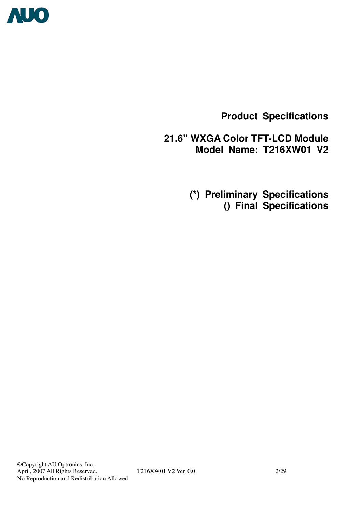

**Product Specifications** 

**21.6" WXGA Color TFT-LCD Module Model Name: T216XW01 V2** 

 **(\*) Preliminary Specifications () Final Specifications**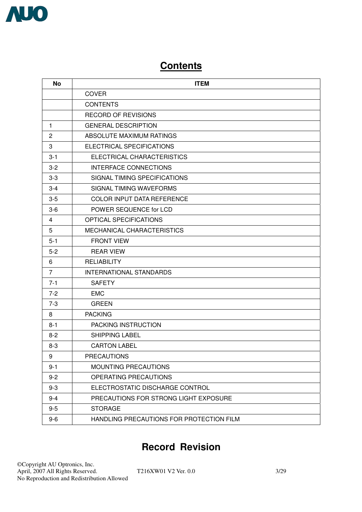

# **Contents**

| No             | <b>ITEM</b>                              |
|----------------|------------------------------------------|
|                | COVER                                    |
|                | <b>CONTENTS</b>                          |
|                | <b>RECORD OF REVISIONS</b>               |
| 1              | <b>GENERAL DESCRIPTION</b>               |
| $\overline{2}$ | ABSOLUTE MAXIMUM RATINGS                 |
| 3              | <b>ELECTRICAL SPECIFICATIONS</b>         |
| $3 - 1$        | ELECTRICAL CHARACTERISTICS               |
| $3 - 2$        | <b>INTERFACE CONNECTIONS</b>             |
| $3-3$          | SIGNAL TIMING SPECIFICATIONS             |
| $3 - 4$        | SIGNAL TIMING WAVEFORMS                  |
| $3-5$          | <b>COLOR INPUT DATA REFERENCE</b>        |
| $3-6$          | POWER SEQUENCE for LCD                   |
| 4              | <b>OPTICAL SPECIFICATIONS</b>            |
| 5              | MECHANICAL CHARACTERISTICS               |
| $5 - 1$        | <b>FRONT VIEW</b>                        |
| $5-2$          | <b>REAR VIEW</b>                         |
| 6              | <b>RELIABILITY</b>                       |
| 7              | <b>INTERNATIONAL STANDARDS</b>           |
| $7 - 1$        | <b>SAFETY</b>                            |
| $7 - 2$        | <b>EMC</b>                               |
| $7-3$          | <b>GREEN</b>                             |
| 8              | <b>PACKING</b>                           |
| $8 - 1$        | PACKING INSTRUCTION                      |
| $8 - 2$        | <b>SHIPPING LABEL</b>                    |
| $8 - 3$        | <b>CARTON LABEL</b>                      |
| 9              | <b>PRECAUTIONS</b>                       |
| $9 - 1$        | <b>MOUNTING PRECAUTIONS</b>              |
| $9 - 2$        | OPERATING PRECAUTIONS                    |
| $9 - 3$        | ELECTROSTATIC DISCHARGE CONTROL          |
| $9 - 4$        | PRECAUTIONS FOR STRONG LIGHT EXPOSURE    |
| $9-5$          | <b>STORAGE</b>                           |
| $9-6$          | HANDLING PRECAUTIONS FOR PROTECTION FILM |

# **Record Revision**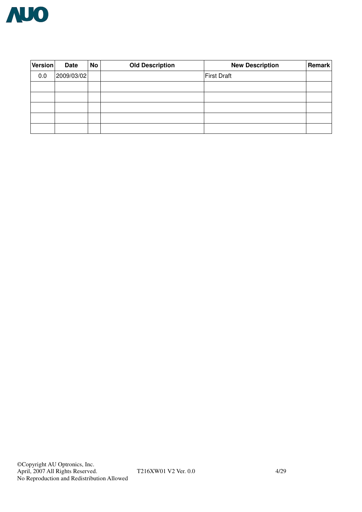

| Version | <b>Date</b> | No | <b>Old Description</b> | <b>New Description</b> | <b>Remark</b> |
|---------|-------------|----|------------------------|------------------------|---------------|
| 0.0     | 2009/03/02  |    |                        | <b>First Draft</b>     |               |
|         |             |    |                        |                        |               |
|         |             |    |                        |                        |               |
|         |             |    |                        |                        |               |
|         |             |    |                        |                        |               |
|         |             |    |                        |                        |               |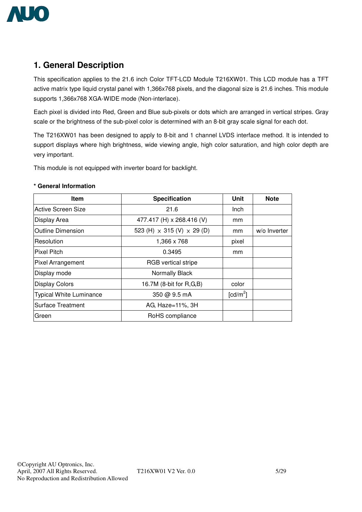

# **1. General Description**

This specification applies to the 21.6 inch Color TFT-LCD Module T216XW01. This LCD module has a TFT active matrix type liquid crystal panel with 1,366x768 pixels, and the diagonal size is 21.6 inches. This module supports 1,366x768 XGA-WIDE mode (Non-interlace).

Each pixel is divided into Red, Green and Blue sub-pixels or dots which are arranged in vertical stripes. Gray scale or the brightness of the sub-pixel color is determined with an 8-bit gray scale signal for each dot.

The T216XW01 has been designed to apply to 8-bit and 1 channel LVDS interface method. It is intended to support displays where high brightness, wide viewing angle, high color saturation, and high color depth are very important.

This module is not equipped with inverter board for backlight.

## **Item | Specification | Unit | Note** Active Screen Size **Active Screen Size 1** Inch Display Area  $\vert$  477.417 (H) x 268.416 (V) mm Outline Dimension  $\vert$  523 (H)  $\times$  315 (V)  $\times$  29 (D) mm  $\vert$  w/o Inverter Resolution 1,366 x 768 pixel Pixel Pitch **Network Pixel Pitch network network network 0.3495 mm** Pixel Arrangement **RGB** vertical stripe Display mode Normally Black Display Colors **16.7M** (8-bit for R,G,B) color Typical White Luminance  $\overline{350}$   $\overline{Q}$  9.5 mA  $\lceil$ cd/m<sup>2</sup> $\rceil$ Surface Treatment **AG, Haze-11%, 3H** Green RoHS compliance

#### **\* General Information**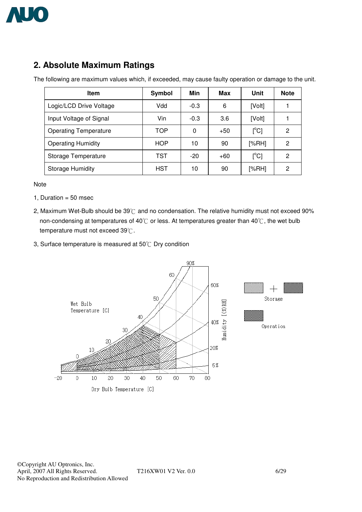

# **2. Absolute Maximum Ratings**

The following are maximum values which, if exceeded, may cause faulty operation or damage to the unit.

| <b>Item</b>                  | Symbol     | Min    | Max   | Unit                                    | <b>Note</b> |
|------------------------------|------------|--------|-------|-----------------------------------------|-------------|
| Logic/LCD Drive Voltage      | Vdd        | $-0.3$ | 6     | [Volt]                                  |             |
| Input Voltage of Signal      | Vin        | $-0.3$ | 3.6   | [Volt]                                  |             |
| <b>Operating Temperature</b> | <b>TOP</b> | 0      | $+50$ | $\mathsf{I}^\circ\mathsf{C} \mathsf{I}$ | 2           |
| <b>Operating Humidity</b>    | HOP        | 10     | 90    | [%RH]                                   | 2           |
| Storage Temperature          | TST        | $-20$  | $+60$ | $[^{\circ}C]$                           | 2           |
| <b>Storage Humidity</b>      | <b>HST</b> | 10     | 90    | [%RH]                                   | 2           |

Note

- 1, Duration  $= 50$  msec
- 2, Maximum Wet-Bulb should be  $39^{\circ}$ C and no condensation. The relative humidity must not exceed 90% non-condensing at temperatures of 40° $\degree$  or less. At temperatures greater than 40° $\degree$ , the wet bulb temperature must not exceed  $39^{\circ}$ C.
- 3, Surface temperature is measured at  $50^{\circ}$ C Dry condition



©Copyright AU Optronics, Inc. April, 2007 All Rights Reserved. T216XW01 V2 Ver. 0.0 6/29 No Reproduction and Redistribution Allowed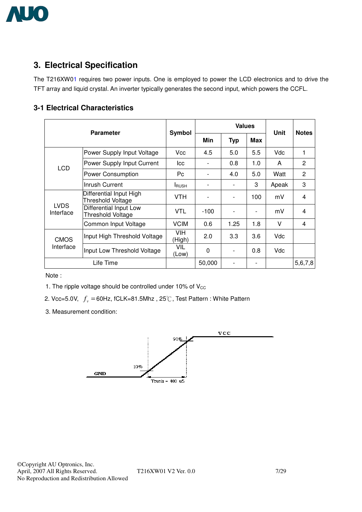

# **3. Electrical Specification**

The T216XW01 requires two power inputs. One is employed to power the LCD electronics and to drive the TFT array and liquid crystal. An inverter typically generates the second input, which powers the CCFL.

#### **3-1 Electrical Characteristics**

|                          | <b>Parameter</b>                             | Symbol              |                          | <b>Values</b>                | <b>Unit</b>              | <b>Notes</b> |                |  |
|--------------------------|----------------------------------------------|---------------------|--------------------------|------------------------------|--------------------------|--------------|----------------|--|
|                          |                                              |                     |                          | <b>Typ</b>                   | Max                      |              |                |  |
|                          | Power Supply Input Voltage                   | Vcc                 | 4.5                      | 5.0                          | 5.5                      | Vdc          | 1              |  |
| <b>LCD</b>               | Power Supply Input Current                   | lcc                 | $\overline{\phantom{0}}$ | 0.8                          | 1.0                      | A            | $\overline{2}$ |  |
|                          | Power Consumption                            | Pc.                 |                          | 4.0                          | 5.0                      | Watt         | $\overline{2}$ |  |
|                          | Inrush Current                               | <b>I</b> RUSH       |                          |                              | 3                        | Apeak        | 3              |  |
|                          | Differential Input High<br>Threshold Voltage | <b>VTH</b>          |                          | $\overline{\phantom{a}}$     | 100                      | mV           | 4              |  |
| <b>LVDS</b><br>Interface | Differential Input Low<br>Threshold Voltage  | VTL                 | $-100$                   | $\qquad \qquad \blacksquare$ | $\overline{\phantom{a}}$ | mV           | 4              |  |
|                          | Common Input Voltage                         | <b>VCIM</b>         | 0.6                      | 1.25                         | 1.8                      | V            | 4              |  |
| <b>CMOS</b>              | Input High Threshold Voltage                 | VIH.<br>(High)      | 2.0                      | 3.3                          | 3.6                      | Vdc          |                |  |
| Interface                | Input Low Threshold Voltage                  | <b>VIL</b><br>(Low) | 0                        | $\overline{\phantom{0}}$     | 0.8                      | Vdc          |                |  |
|                          | Life Time                                    |                     | 50,000                   |                              |                          |              | 5,6,7,8        |  |

Note :

1. The ripple voltage should be controlled under 10% of  $V_{CC}$ 

2. Vcc=5.0V,  $f_v = 60$ Hz, fCLK=81.5Mhz, 25°C, Test Pattern : White Pattern

3. Measurement condition:

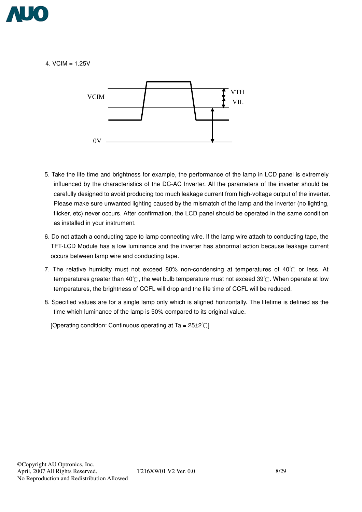

4. VCIM  $= 1.25V$ 



- 5. Take the life time and brightness for example, the performance of the lamp in LCD panel is extremely influenced by the characteristics of the DC-AC Inverter. All the parameters of the inverter should be carefully designed to avoid producing too much leakage current from high-voltage output of the inverter. Please make sure unwanted lighting caused by the mismatch of the lamp and the inverter (no lighting, flicker, etc) never occurs. After confirmation, the LCD panel should be operated in the same condition as installed in your instrument.
- 6. Do not attach a conducting tape to lamp connecting wire. If the lamp wire attach to conducting tape, the TFT-LCD Module has a low luminance and the inverter has abnormal action because leakage current occurs between lamp wire and conducting tape.
- 7. The relative humidity must not exceed 80% non-condensing at temperatures of 40 $\degree$  or less. At temperatures greater than 40° $\mathbb C$ , the wet bulb temperature must not exceed 39° $\mathbb C$ . When operate at low temperatures, the brightness of CCFL will drop and the life time of CCFL will be reduced.
- 8. Specified values are for a single lamp only which is aligned horizontally. The lifetime is defined as the time which luminance of the lamp is 50% compared to its original value.

[Operating condition: Continuous operating at Ta =  $25\pm2^{\circ}$ ]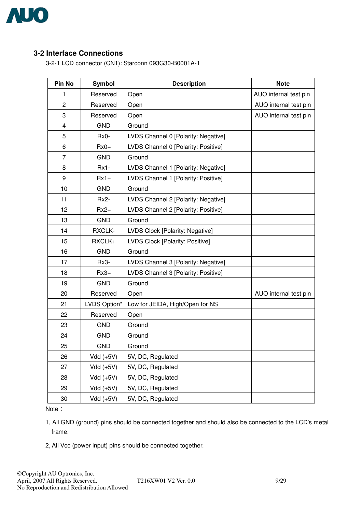

#### **3-2 Interface Connections**!

3-2-1 LCD connector (CN1): Starconn 093G30-B0001A-1

| Pin No         | Symbol       | <b>Description</b>                     | <b>Note</b>           |
|----------------|--------------|----------------------------------------|-----------------------|
| 1              | Reserved     | Open                                   | AUO internal test pin |
| $\overline{2}$ | Reserved     | Open                                   | AUO internal test pin |
| 3              | Reserved     | Open                                   | AUO internal test pin |
| 4              | <b>GND</b>   | Ground                                 |                       |
| 5              | Rx0-         | LVDS Channel 0 [Polarity: Negative]    |                       |
| 6              | $Rx0+$       | LVDS Channel 0 [Polarity: Positive]    |                       |
| 7              | <b>GND</b>   | Ground                                 |                       |
| 8              | $Rx1-$       | LVDS Channel 1 [Polarity: Negative]    |                       |
| 9              | $Rx1+$       | LVDS Channel 1 [Polarity: Positive]    |                       |
| 10             | <b>GND</b>   | Ground                                 |                       |
| 11             | Rx2-         | LVDS Channel 2 [Polarity: Negative]    |                       |
| 12             | $Rx2+$       | LVDS Channel 2 [Polarity: Positive]    |                       |
| 13             | <b>GND</b>   | Ground                                 |                       |
| 14             | RXCLK-       | <b>LVDS Clock [Polarity: Negative]</b> |                       |
| 15             | RXCLK+       | LVDS Clock [Polarity: Positive]        |                       |
| 16             | <b>GND</b>   | Ground                                 |                       |
| 17             | Rx3-         | LVDS Channel 3 [Polarity: Negative]    |                       |
| 18             | $Rx3+$       | LVDS Channel 3 [Polarity: Positive]    |                       |
| 19             | <b>GND</b>   | Ground                                 |                       |
| 20             | Reserved     | Open                                   | AUO internal test pin |
| 21             | LVDS Option* | Low for JEIDA, High/Open for NS        |                       |
| 22             | Reserved     | Open                                   |                       |
| 23             | <b>GND</b>   | Ground                                 |                       |
| 24             | <b>GND</b>   | Ground                                 |                       |
| 25             | <b>GND</b>   | Ground                                 |                       |
| 26             | $Vdd (+5V)$  | 5V, DC, Regulated                      |                       |
| 27             | $Vdd (+5V)$  | 5V, DC, Regulated                      |                       |
| 28             | $Vdd (+5V)$  | 5V, DC, Regulated                      |                       |
| 29             | $Vdd (+5V)$  | 5V, DC, Regulated                      |                       |
| 30             | $Vdd (+5V)$  | 5V, DC, Regulated                      |                       |

Note:

1, All GND (ground) pins should be connected together and should also be connected to the LCD's metal frame.

2, All Vcc (power input) pins should be connected together.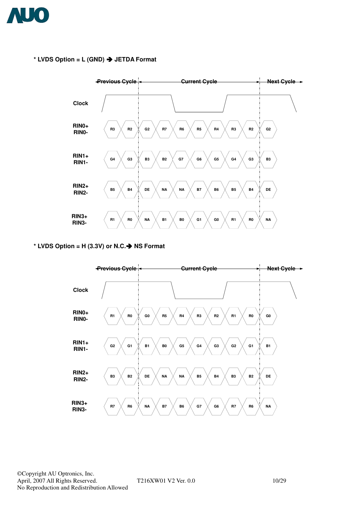

**\* LVDS Option = L (GND)** ! **JETDA Format** 



#### **\* LVDS Option = H (3.3V) or N.C.**! **NS Format**

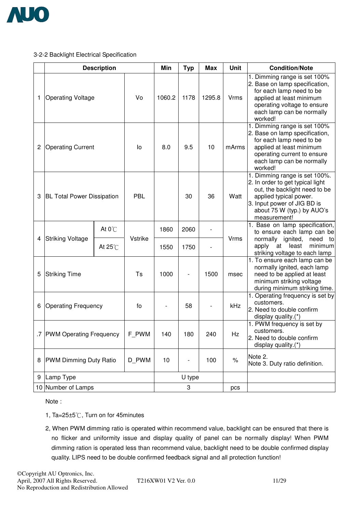

#### 3-2-2 Backlight Electrical Specification

|   |                                   | <b>Description</b> |         | Min    | <b>Typ</b> | <b>Max</b> | <b>Unit</b>                               | <b>Condition/Note</b>                                                                                                                                                                                     |
|---|-----------------------------------|--------------------|---------|--------|------------|------------|-------------------------------------------|-----------------------------------------------------------------------------------------------------------------------------------------------------------------------------------------------------------|
| 1 | <b>Operating Voltage</b>          |                    | Vo      | 1060.2 | 1178       | 1295.8     | <b>Vrms</b>                               | 1. Dimming range is set 100%<br>2. Base on lamp specification,<br>for each lamp need to be<br>applied at least minimum<br>operating voltage to ensure<br>each lamp can be normally<br>worked!             |
| 2 | <b>Operating Current</b>          |                    | lo      | 8.0    | 9.5        | 10         | mArms                                     | 1. Dimming range is set 100%<br>2. Base on lamp specification,<br>for each lamp need to be<br>applied at least minimum<br>operating current to ensure<br>each lamp can be normally<br>worked!             |
| 3 | <b>BL Total Power Dissipation</b> |                    | PBL     |        | 30         | 36         | Watt                                      | 1. Dimming range is set 100%.<br>2. In order to get typical light<br>out, the backlight need to be<br>applied typical power.<br>3. Input power of JIG BD is<br>about 75 W (typ.) by AUO's<br>measurement! |
|   |                                   | At $0^{\circ}$ C   |         | 1860   | 2060       |            |                                           | 1. Base on lamp specification,<br>to ensure each lamp can be                                                                                                                                              |
| 4 | Striking Voltage                  | At $25^{\circ}$ C  | Vstrike | 1550   | 1750       |            | <b>Vrms</b>                               | normally ignited,<br>need to<br>apply<br>least<br>minimum<br>at<br>striking voltage to each lamp                                                                                                          |
| 5 | <b>Striking Time</b>              |                    | Ts      | 1000   |            | 1500       | msec                                      | 1. To ensure each lamp can be<br>normally ignited, each lamp<br>need to be applied at least<br>minimum striking voltage<br>during minimum striking time.                                                  |
| 6 | <b>Operating Frequency</b>        |                    | fo      |        | 58         |            | kHz                                       | 1. Operating frequency is set by<br>customers.<br>2. Need to double confirm<br>display quality.(*)                                                                                                        |
|   | .7 PWM Operating Frequency        |                    | F_PWM   | 140    | 180        | 240        | Hz                                        | 1. PWM frequency is set by<br>customers.<br>2. Need to double confirm<br>display quality.(*)                                                                                                              |
| 8 | <b>PWM Dimming Duty Ratio</b>     | D PWM              | 10      |        | 100        | $\%$       | Note 2.<br>Note 3. Duty ratio definition. |                                                                                                                                                                                                           |
| 9 | Lamp Type                         |                    |         |        | U type     |            |                                           |                                                                                                                                                                                                           |
|   | 10 Number of Lamps                |                    |         |        | 3          |            | pcs                                       |                                                                                                                                                                                                           |

Note :

- 1, Ta= $25\pm5^\circ$ C, Turn on for 45minutes
- 2, When PWM dimming ratio is operated within recommend value, backlight can be ensured that there is no flicker and uniformity issue and display quality of panel can be normally display! When PWM dimming ration is operated less than recommend value, backlight need to be double confirmed display quality. LIPS need to be double confirmed feedback signal and all protection function!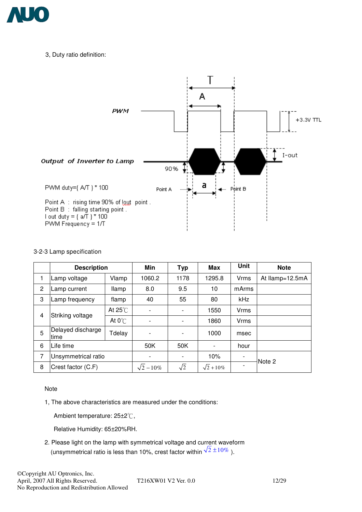

3, Duty ratio definition:



#### 3-2-3 Lamp specification

|   | <b>Description</b>        |                   | <b>Min</b>        | <b>Typ</b>               | <b>Max</b>        | <b>Unit</b>              | <b>Note</b>     |
|---|---------------------------|-------------------|-------------------|--------------------------|-------------------|--------------------------|-----------------|
| 1 | Lamp voltage              | Vlamp             | 1060.2            | 1178                     | 1295.8            | <b>Vrms</b>              | At Ilamp=12.5mA |
| 2 | Lamp current              | <b>Ilamp</b>      | 8.0               | 9.5                      | 10                | mArms                    |                 |
| 3 | Lamp frequency            | flamp             | 40                | 55                       | 80                | kHz                      |                 |
| 4 | Striking voltage          | At $25^{\circ}$ C |                   |                          | 1550              | Vrms                     |                 |
|   |                           | At $0^{\circ}$ C  |                   | $\overline{\phantom{0}}$ | 1860              | Vrms                     |                 |
| 5 | Delayed discharge<br>time | Tdelay            |                   | $\overline{\phantom{0}}$ | 1000              | msec                     |                 |
| 6 | Life time                 |                   | 50K               | 50K                      | $\blacksquare$    | hour                     |                 |
| 7 | Unsymmetrical ratio       |                   |                   |                          | 10%               | $\overline{\phantom{a}}$ | Note 2          |
| 8 | Crest factor (C.F)        |                   | $\sqrt{2} - 10\%$ | $\sqrt{2}$               | $\sqrt{2} + 10\%$ |                          |                 |

#### Note

1, The above characteristics are measured under the conditions:

Ambient temperature:  $25\pm2\degree$ C,

Relative Humidity: 65±20%RH.

2. Please light on the lamp with symmetrical voltage and current waveform (unsymmetrical ratio is less than 10%, crest factor within  $\sqrt{2} \pm 10\%$ ).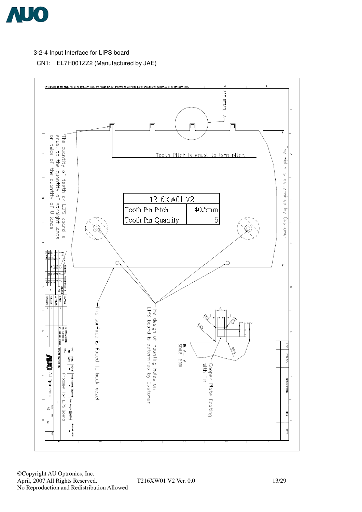

#### 3-2-4 Input Interface for LIPS board

CN1: EL7H001ZZ2 (Manufactured by JAE)

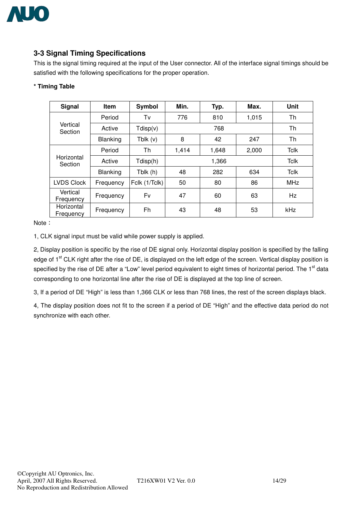

## **3-3 Signal Timing Specifications**

This is the signal timing required at the input of the User connector. All of the interface signal timings should be satisfied with the following specifications for the proper operation.

#### **\* Timing Table**

| Signal                  | <b>Item</b>     | Symbol        | Min.  | Typ.        | Max.  | Unit        |  |
|-------------------------|-----------------|---------------|-------|-------------|-------|-------------|--|
|                         | Period          | Tv            | 776   | 810         | 1,015 | Th          |  |
| Vertical<br>Section     | Active          | Tdisp(v)      |       | 768         |       |             |  |
|                         | <b>Blanking</b> | Tblk $(v)$    | 8     | 42          | 247   | Th          |  |
|                         | Period          | Th            | 1,414 | 1,648       |       | <b>Tclk</b> |  |
| Horizontal<br>Section   | Active          | Tdisp(h)      |       | <b>Tclk</b> |       |             |  |
|                         | <b>Blanking</b> | Tblk (h)      | 48    | 282         | 634   | <b>Tclk</b> |  |
| <b>LVDS Clock</b>       | Frequency       | Fclk (1/Tclk) | 50    | 80          | 86    | <b>MHz</b>  |  |
| Vertical<br>Frequency   | Frequency       | Fv            | 47    | 60          | 63    | Hz          |  |
| Horizontal<br>Frequency | Frequency       | Fh            | 43    | 48          | 53    | kHz         |  |

Note:

1, CLK signal input must be valid while power supply is applied.

2, Display position is specific by the rise of DE signal only. Horizontal display position is specified by the falling edge of 1<sup>st</sup> CLK right after the rise of DE, is displayed on the left edge of the screen. Vertical display position is specified by the rise of DE after a "Low" level period equivalent to eight times of horizontal period. The 1<sup>st</sup> data corresponding to one horizontal line after the rise of DE is displayed at the top line of screen.

3, If a period of DE "High" is less than 1,366 CLK or less than 768 lines, the rest of the screen displays black.

4, The display position does not fit to the screen if a period of DE "High" and the effective data period do not synchronize with each other.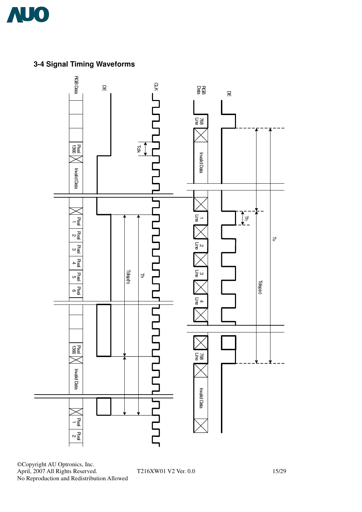

**3-4 Signal Timing Waveforms**



©Copyright AU Optronics, Inc. April, 2007 All Rights Reserved. T216XW01 V2 Ver. 0.0 15/29 No Reproduction and Redistribution Allowed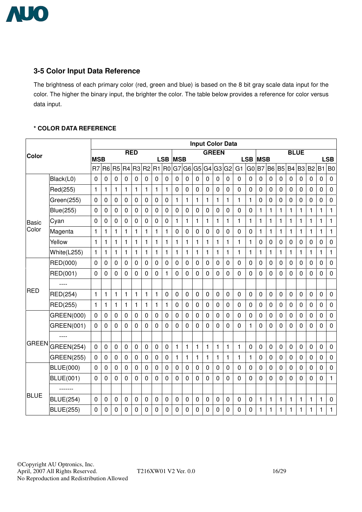

## **3-5 Color Input Data Reference**

The brightness of each primary color (red, green and blue) is based on the 8 bit gray scale data input for the color. The higher the binary input, the brighter the color. The table below provides a reference for color versus data input.

#### **\* COLOR DATA REFERENCE**

|              |                   |                              |                  |                |                |             |                |                | <b>Input Color Data</b>      |                  |                |                |             |                |                                 |                |                              |                         |                |                |             |                |              |                |                         |
|--------------|-------------------|------------------------------|------------------|----------------|----------------|-------------|----------------|----------------|------------------------------|------------------|----------------|----------------|-------------|----------------|---------------------------------|----------------|------------------------------|-------------------------|----------------|----------------|-------------|----------------|--------------|----------------|-------------------------|
| Color        |                   |                              |                  |                |                | <b>RED</b>  |                |                |                              |                  |                |                |             | <b>GREEN</b>   |                                 |                |                              |                         |                |                | <b>BLUE</b> |                |              |                |                         |
|              |                   | <b>MSB</b><br>R <sub>7</sub> | R <sub>6</sub>   | R <sub>5</sub> | R <sub>4</sub> | R3          | R <sub>2</sub> | R1             | <b>LSB</b><br>R <sub>0</sub> | <b>MSB</b><br>G7 | G <sub>6</sub> | G <sub>5</sub> | G4          |                | $G3$ <sup><math>G2</math></sup> | G <sub>1</sub> | <b>LSB</b><br>G <sub>0</sub> | <b>MSB</b><br><b>B7</b> | <b>B6</b>      | <b>B5</b>      | <b>B4</b>   | B <sub>3</sub> | B2 B1        |                | <b>LSB</b><br><b>B0</b> |
|              | Black(L0)         | 0                            | 0                | 0              | $\pmb{0}$      | 0           | $\mathbf 0$    | 0              | 0                            | $\mathbf 0$      | $\mathbf 0$    | $\mathbf 0$    | $\mathbf 0$ | $\mathbf 0$    | $\mathbf 0$                     | $\mathbf 0$    | $\mathbf 0$                  | $\mathbf 0$             | $\mathbf 0$    | $\mathbf 0$    | $\mathbf 0$ | 0              | $\mathbf 0$  | $\mathbf 0$    | $\pmb{0}$               |
|              |                   |                              |                  |                |                |             |                |                |                              |                  | $\mathbf 0$    | $\overline{0}$ |             |                |                                 |                | $\mathbf 0$                  |                         | $\overline{0}$ |                |             |                |              |                | $\mathbf 0$             |
|              | Red(255)          | $\mathbf{1}$                 | $\mathbf{1}$     | 1              | $\mathbf{1}$   | 1           | 1              | 1              | 1                            | $\mathbf 0$      |                |                | 0           | $\mathbf 0$    | $\mathbf 0$                     | $\mathbf 0$    |                              | $\mathbf 0$             |                | 0              | 0           | $\mathbf 0$    | 0            | $\mathbf 0$    |                         |
|              | Green(255)        | $\mathbf 0$                  | $\mathbf 0$      | 0              | $\mathbf 0$    | 0           | $\mathbf 0$    | 0              | 0                            | 1                | 1              | $\mathbf{1}$   | 1           | $\mathbf{1}$   | 1                               | 1              | 1                            | 0                       | 0              | $\mathbf 0$    | $\mathbf 0$ | $\mathbf 0$    | 0            | $\pmb{0}$      | $\mathbf 0$             |
|              | <b>Blue(255)</b>  | 0                            | 0                | 0              | 0              | 0           | $\mathbf 0$    | 0              | 0                            | 0                | 0              | $\pmb{0}$      | 0           | $\pmb{0}$      | $\pmb{0}$                       | 0              | $\pmb{0}$                    | 1                       | 1              | 1              | 1           | 1              | 1            | 1              | $\mathbf{1}$            |
| <b>Basic</b> | Cyan              | 0                            | 0                | 0              | $\overline{0}$ | 0           | $\overline{0}$ | $\overline{0}$ | 0                            | $\mathbf{1}$     | $\mathbf{1}$   | $\mathbf{1}$   | $\mathbf 1$ | $\mathbf{1}$   | $\mathbf{1}$                    | $\mathbf{1}$   | $\mathbf{1}$                 | $\mathbf{1}$            | $\mathbf{1}$   | 1              | 1           | 1              | $\mathbf{1}$ | $\mathbf{1}$   | $\mathbf{1}$            |
| Color        | Magenta           | $\mathbf{1}$                 | $\mathbf{1}$     | 1              | $\mathbf{1}$   | 1           | 1              | $\mathbf{1}$   | 1                            | $\mathbf 0$      | 0              | $\overline{0}$ | 0           | $\mathbf 0$    | $\overline{0}$                  | $\mathbf 0$    | $\mathbf 0$                  | 1                       | 1              | $\mathbf{1}$   | 1           | 1              | 1            | 1              | $\mathbf{1}$            |
|              | Yellow            | $\mathbf{1}$                 | $\mathbf{1}$     | 1              | $\mathbf{1}$   | 1           | $\mathbf{1}$   | $\mathbf{1}$   | 1                            | $\mathbf{1}$     | 1              | $\mathbf{1}$   | 1           | $\mathbf{1}$   | $\mathbf{1}$                    | $\mathbf{1}$   | $\mathbf{1}$                 | 0                       | $\mathbf 0$    | 0              | 0           | 0              | $\mathbf 0$  | 0              | $\mathbf 0$             |
|              | White(L255)       | $\mathbf{1}$                 | $\mathbf{1}$     | 1              | $\mathbf{1}$   | 1           | 1              | 1              | 1                            | 1                | 1              | $\mathbf{1}$   | 1           | $\mathbf{1}$   | 1                               | 1              | 1                            | 1                       | 1              | $\mathbf{1}$   | 1           | 1              | $\mathbf{1}$ | 1              | $\mathbf{1}$            |
|              | RED(000)          | $\mathbf 0$                  | $\mathbf 0$      | 0              | $\mathbf 0$    | 0           | $\mathbf 0$    | $\mathbf 0$    | 0                            | $\mathbf 0$      | 0              | $\overline{0}$ | 0           | $\mathbf 0$    | $\mathbf 0$                     | $\mathbf 0$    | $\mathbf 0$                  | $\mathbf 0$             | 0              | $\overline{0}$ | 0           | 0              | $\mathbf 0$  | $\mathbf 0$    | $\mathbf 0$             |
|              | RED(001)          | 0                            | 0                | 0              | 0              | 0           | 0              | $\Omega$       | 1                            | 0                | 0              | 0              | 0           | 0              | $\Omega$                        | $\Omega$       | 0                            | 0                       | 0              | 0              | 0           | 0              | 0            | 0              | $\mathbf 0$             |
|              |                   |                              |                  |                |                |             |                |                |                              |                  |                |                |             |                |                                 |                |                              |                         |                |                |             |                |              |                |                         |
| <b>RED</b>   | RED(254)          | $\mathbf{1}$                 | $\mathbf{1}$     | 1              | $\mathbf{1}$   | 1           | 1              | 1              | 0                            | $\mathbf 0$      | $\mathbf 0$    | $\mathbf 0$    | 0           | $\mathbf 0$    | $\overline{0}$                  | $\overline{0}$ | $\mathbf 0$                  | $\mathbf 0$             | $\mathbf 0$    | $\mathbf 0$    | $\mathbf 0$ | 0              | $\mathbf 0$  | $\mathbf 0$    | $\mathbf 0$             |
|              | RED(255)          | $\mathbf{1}$                 | $\mathbf{1}$     | 1              | $\mathbf{1}$   | 1           | 1              | 1              | 1                            | $\mathbf 0$      | $\mathbf 0$    | $\overline{0}$ | 0           | $\mathbf 0$    | $\overline{0}$                  | $\mathbf{0}$   | $\mathbf 0$                  | 0                       | 0              | 0              | 0           | 0              | 0            | 0              | $\mathbf 0$             |
|              | GREEN(000)        | $\mathbf 0$                  | $\boldsymbol{0}$ | 0              | $\mathbf 0$    | 0           | $\mathbf 0$    | $\mathbf 0$    | 0                            | $\mathbf 0$      | $\mathbf 0$    | $\mathbf 0$    | 0           | $\mathbf 0$    | $\mathbf 0$                     | $\mathbf 0$    | $\mathbf 0$                  | $\mathbf 0$             | $\mathbf 0$    | $\mathbf 0$    | 0           | $\mathbf 0$    | 0            | $\mathbf 0$    | $\pmb{0}$               |
|              | GREEN(001)        | $\mathbf 0$                  | 0                | 0              | 0              | 0           | 0              | $\mathbf 0$    | 0                            | 0                | 0              | 0              | 0           | 0              | 0                               | $\Omega$       | 1                            | 0                       | 0              | 0              | 0           | 0              | 0            | 0              | $\overline{0}$          |
|              |                   |                              |                  |                |                |             |                |                |                              |                  |                |                |             |                |                                 |                |                              |                         |                |                |             |                |              |                |                         |
| <b>GREEN</b> | <b>GREEN(254)</b> | $\mathbf 0$                  | $\mathbf 0$      | $\mathbf 0$    | $\mathbf 0$    | 0           | $\mathbf 0$    | 0              | 0                            | $\mathbf{1}$     | $\mathbf{1}$   | $\mathbf{1}$   | 1           | 1              | $\mathbf{1}$                    | $\mathbf{1}$   | 0                            | $\pmb{0}$               | $\mathbf 0$    | 0              | $\mathbf 0$ | 0              | 0            | $\mathbf 0$    | $\pmb{0}$               |
|              | <b>GREEN(255)</b> | $\pmb{0}$                    | 0                | 0              | 0              | 0           | $\mathbf 0$    | $\mathbf 0$    | 0                            | $\mathbf{1}$     | 1              | $\mathbf{1}$   | 1           | 1              | 1                               | 1              | $\mathbf{1}$                 | 0                       | 0              | $\mathbf 0$    | 0           | $\mathbf 0$    | $\mathbf 0$  | $\mathbf 0$    | $\mathbf 0$             |
|              | <b>BLUE(000)</b>  | $\overline{0}$               | $\mathbf 0$      | 0              | 0              | $\mathbf 0$ | $\overline{0}$ | $\overline{0}$ | 0                            | $\overline{0}$   | $\mathbf 0$    | $\overline{0}$ | 0           | $\overline{0}$ | $\Omega$                        | $\Omega$       | $\overline{0}$               | $\overline{0}$          | $\overline{0}$ | $\overline{0}$ | 0           | $\mathbf 0$    | 0            | $\overline{0}$ | $\mathbf 0$             |
|              | <b>BLUE(001)</b>  | $\mathbf 0$                  | 0                | 0              | $\Omega$       | 0           | 0              | $\mathbf{0}$   | 0                            | 0                | 0              | 0              | 0           | $\mathbf 0$    | 0                               | $\mathbf 0$    | $\mathbf 0$                  | 0                       | 0              | 0              | 0           | 0              | 0            | $\mathbf 0$    | $\mathbf{1}$            |
|              |                   |                              |                  |                |                |             |                |                |                              |                  |                |                |             |                |                                 |                |                              |                         |                |                |             |                |              |                |                         |
| <b>BLUE</b>  | <b>BLUE(254)</b>  | $\mathbf 0$                  | 0                | 0              | $\mathbf 0$    | 0           | $\mathbf 0$    | $\mathbf 0$    | 0                            | 0                | 0              | 0              | 0           | 0              | $\overline{0}$                  | $\overline{0}$ | $\mathbf 0$                  | $\mathbf{1}$            | 1              | 1              | 1           | 1              | $\mathbf{1}$ | $\mathbf{1}$   | $\mathbf 0$             |
|              | <b>BLUE(255)</b>  | $\mathbf 0$                  | $\mathbf 0$      | 0              | $\mathbf{0}$   | 0           | 0              | $\mathbf{0}$   | 0                            | 0                | 0              | $\mathbf{0}$   | 0           | 0              | 0                               | 0              | $\overline{0}$               | 1                       | 1              | 1              | 1           | 1              | 1            | 1              | $\mathbf{1}$            |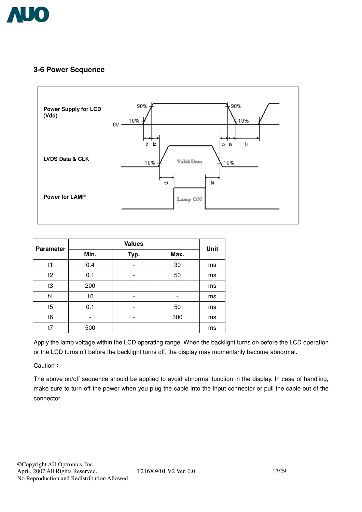

## **3-6 Power Sequence**



| <b>Parameter</b> |      | <b>Unit</b>    |      |    |
|------------------|------|----------------|------|----|
|                  | Min. | Typ.           | Max. |    |
| t1               | 0.4  | $\blacksquare$ | 30   | ms |
| t2               | 0.1  | $\blacksquare$ | 50   | ms |
| t3               | 200  |                |      | ms |
| t4               | 10   |                | -    | ms |
| t5               | 0.1  | -              | 50   | ms |
| t <sub>6</sub>   | -    | -              | 300  | ms |
| t7               | 500  | -              |      | ms |

Apply the lamp voltage within the LCD operating range. When the backlight turns on before the LCD operation or the LCD turns off before the backlight turns off, the display may momentarily become abnormal.

Caution:

The above on/off sequence should be applied to avoid abnormal function in the display. In case of handling, make sure to turn off the power when you plug the cable into the input connector or pull the cable out of the connector.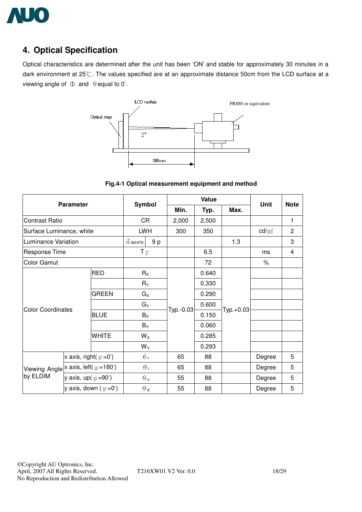

# **4. Optical Specification**

Optical characteristics are determined after the unit has been 'ON' and stable for approximately 30 minutes in a dark environment at 25°C. The values specified are at an approximate distance 50cm from the LCD surface at a viewing angle of  $\Phi$  and  $\theta$  equal to 0°.



**Fig.4-1 Optical measurement equipment and method** 

|                                                | <b>Parameter</b>                       |                                        |                |                  |           | <b>Value</b> |           | Unit     | <b>Note</b>    |
|------------------------------------------------|----------------------------------------|----------------------------------------|----------------|------------------|-----------|--------------|-----------|----------|----------------|
|                                                |                                        |                                        | <b>Symbol</b>  |                  | Min.      | Typ.         | Max.      |          |                |
| <b>Contrast Ratio</b>                          |                                        |                                        | CR             |                  | 2,000     | 2,500        |           |          | $\mathbf{1}$   |
| Surface Luminance, white                       |                                        |                                        |                | <b>LWH</b>       | 300       | 350          |           | $cd/m^2$ | $\overline{c}$ |
| Luminance Variation                            |                                        |                                        | $\delta$ white | 9p               |           |              | 1.3       |          | 3              |
| Response Time                                  |                                        |                                        | T $\gamma$     |                  |           | 6.5          |           | ms       | 4              |
| <b>Color Gamut</b>                             |                                        |                                        |                |                  |           | 72           |           | $\%$     |                |
| <b>RED</b>                                     |                                        |                                        | $R_X$          |                  | 0.640     |              |           |          |                |
|                                                |                                        |                                        |                | $R_Y$            |           | 0.330        |           |          |                |
|                                                |                                        | <b>GREEN</b>                           | $G_X$          |                  |           | 0.290        |           |          |                |
|                                                |                                        |                                        | $G_Y$          |                  |           | 0.600        |           |          |                |
| <b>Color Coordinates</b>                       |                                        | <b>BLUE</b>                            | $B_X$          |                  | Typ.-0.03 | 0.150        | Typ.+0.03 |          |                |
|                                                |                                        |                                        |                | $B_Y$            |           | 0.060        |           |          |                |
|                                                |                                        | <b>WHITE</b>                           |                | $W_X$            |           | 0.285        |           |          |                |
|                                                |                                        |                                        |                | $W_Y$            |           | 0.293        |           |          |                |
|                                                | x axis, right( $\varphi = 0^{\circ}$ ) |                                        |                | $\theta_{\rm r}$ | 65        | 88           |           | Degree   | 5              |
| Viewing Angle $x$ axis, left( $\varphi$ =180°) |                                        |                                        | $\theta_1$     |                  | 65        | 88           |           | Degree   | 5              |
| by ELDIM                                       | y axis, up( $\varphi$ =90°)            |                                        | $\theta$ u     |                  | 55        | 88           |           | Degree   | 5              |
|                                                |                                        | y axis, down ( $\varphi = 0^{\circ}$ ) |                | $\theta$ d       | 55        | 88           |           | Degree   | 5              |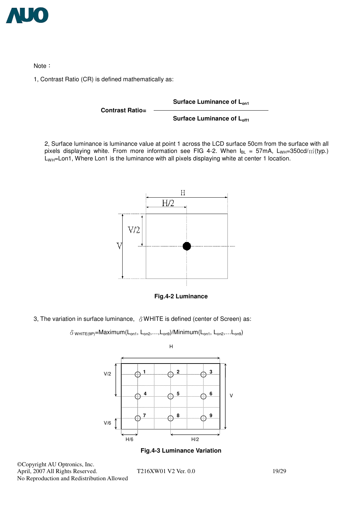

Note:

1, Contrast Ratio (CR) is defined mathematically as:

Surface Luminance of L<sub>on1</sub> **Contrast Ratio= Surface Luminance of Loff1** 

2, Surface luminance is luminance value at point 1 across the LCD surface 50cm from the surface with all pixels displaying white. From more information see FIG 4-2. When  $I_{BL} = 57 \text{mA}$ ,  $L_{WH} = 350 \text{cd/m}^2(\text{typ})$ . L<sub>WH</sub>=Lon1, Where Lon1 is the luminance with all pixels displaying white at center 1 location.





3, The variation in surface luminance,  $\delta$  WHITE is defined (center of Screen) as:

```
\delta wHITE(9P)=Maximum(L<sub>on1</sub>, L<sub>on2</sub>,...,L<sub>on9</sub>)/Minimum(L<sub>on1</sub>, L<sub>on2</sub>,...L<sub>on9</sub>)
```


**Fig.4-3 Luminance Variation** 

©Copyright AU Optronics, Inc. April, 2007 All Rights Reserved. T216XW01 V2 Ver. 0.0 19/29 No Reproduction and Redistribution Allowed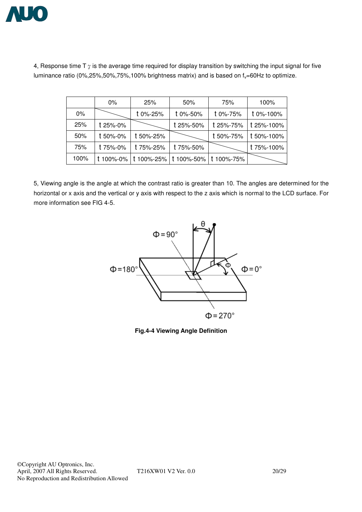

|       | $0\%$    | 25%       | 50%                                        | 75%       | 100%       |
|-------|----------|-----------|--------------------------------------------|-----------|------------|
| $0\%$ |          | t 0%-25%  | t 0%-50%                                   | t 0%-75%  | t 0%-100%  |
| 25%   | t 25%-0% |           | t 25%-50%                                  | t 25%-75% | t 25%-100% |
| 50%   | t 50%-0% | t 50%-25% |                                            | t 50%-75% | t 50%-100% |
| 75%   | t 75%-0% | t 75%-25% | t 75%-50%                                  |           | t 75%-100% |
| 100%  |          |           | t 100%-0% t 100%-25% t 100%-50% t 100%-75% |           |            |

4, Response time T  $\gamma$  is the average time required for display transition by switching the input signal for five luminance ratio (0%,25%,50%,75%,100% brightness matrix) and is based on  $f_v$ =60Hz to optimize.

5, Viewing angle is the angle at which the contrast ratio is greater than 10. The angles are determined for the horizontal or x axis and the vertical or y axis with respect to the z axis which is normal to the LCD surface. For more information see FIG 4-5.



**Fig.4-4 Viewing Angle Definition**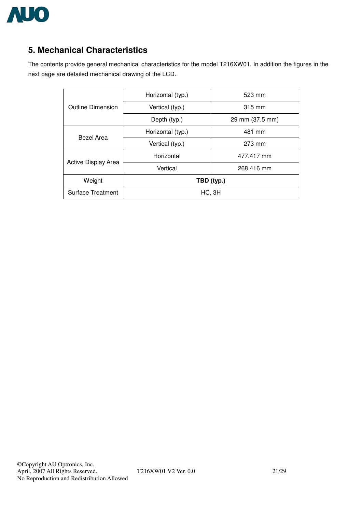

# **5. Mechanical Characteristics**

The contents provide general mechanical characteristics for the model T216XW01. In addition the figures in the next page are detailed mechanical drawing of the LCD.

|                          | Horizontal (typ.) | 523 mm          |  |
|--------------------------|-------------------|-----------------|--|
| <b>Outline Dimension</b> | Vertical (typ.)   | 315 mm          |  |
|                          | Depth (typ.)      | 29 mm (37.5 mm) |  |
| Bezel Area               | Horizontal (typ.) | 481 mm          |  |
|                          | Vertical (typ.)   | 273 mm          |  |
|                          | Horizontal        | 477.417 mm      |  |
| Active Display Area      | Vertical          | 268.416 mm      |  |
| Weight                   | TBD (typ.)        |                 |  |
| <b>Surface Treatment</b> | HC, 3H            |                 |  |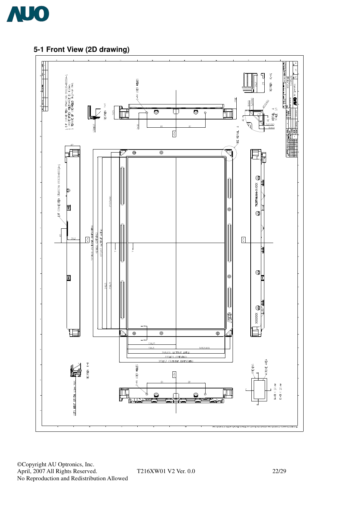

## **5-1 Front View (2D drawing)**



©Copyright AU Optronics, Inc. April, 2007 All Rights Reserved. T216XW01 V2 Ver. 0.0 22/29 No Reproduction and Redistribution Allowed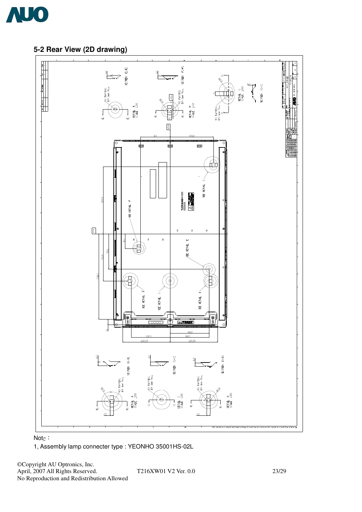

## **5-2 Rear View (2D drawing)**







©Copyright AU Optronics, Inc. April, 2007 All Rights Reserved. T216XW01 V2 Ver. 0.0 23/29 No Reproduction and Redistribution Allowed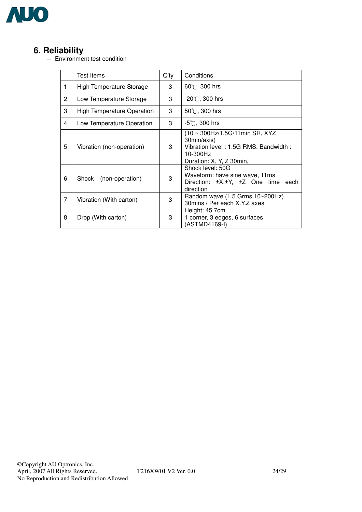

**6. Reliability**<br>- Environment test condition

|                | <b>Test Items</b>          | $Q'$ ty | Conditions                                                                                                                      |
|----------------|----------------------------|---------|---------------------------------------------------------------------------------------------------------------------------------|
| 1              | High Temperature Storage   | 3       | $60^{\circ}$ 300 hrs                                                                                                            |
| $\overline{2}$ | Low Temperature Storage    | 3       | $-20^{\circ}$ C, 300 hrs                                                                                                        |
| 3              | High Temperature Operation | 3       | $50^{\circ}$ C, 300 hrs                                                                                                         |
| 4              | Low Temperature Operation  | 3       | $-5^{\circ}$ C, 300 hrs                                                                                                         |
| 5              | Vibration (non-operation)  | 3       | (10 ~ 300Hz/1.5G/11min SR, XYZ)<br>30min/axis)<br>Vibration level: 1.5G RMS, Bandwidth:<br>10-300Hz<br>Duration: X, Y, Z 30min, |
| 6              | Shock (non-operation)      | 3       | Shock level: 50G<br>Waveform: have sine wave, 11ms<br>Direction: $\pm X, \pm Y, \pm Z$ One time each<br>direction               |
| 7              | Vibration (With carton)    | 3       | Random wave $(1.5$ Grms $10~200$ Hz)<br>30mins / Per each X.Y.Z axes                                                            |
| 8              | Drop (With carton)         | 3       | Height: 45.7cm<br>1 corner, 3 edges, 6 surfaces<br>(ASTMD4169-I)                                                                |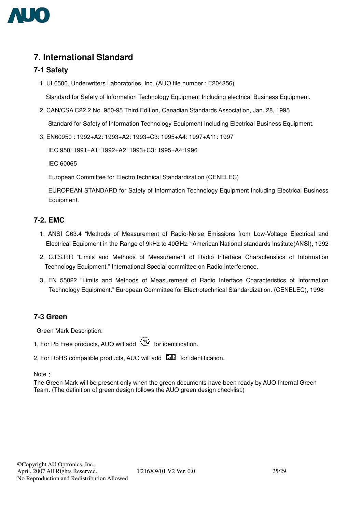

# **7. International Standard**

#### **7-1 Safety**

1, UL6500, Underwriters Laboratories, Inc. (AUO file number : E204356)

Standard for Safety of Information Technology Equipment Including electrical Business Equipment.

2, CAN/CSA C22.2 No. 950-95 Third Edition, Canadian Standards Association, Jan. 28, 1995

Standard for Safety of Information Technology Equipment Including Electrical Business Equipment.

3, EN60950 : 1992+A2: 1993+A2: 1993+C3: 1995+A4: 1997+A11: 1997

IEC 950: 1991+A1: 1992+A2: 1993+C3: 1995+A4:1996

IEC 60065

European Committee for Electro technical Standardization (CENELEC)

EUROPEAN STANDARD for Safety of Information Technology Equipment Including Electrical Business Equipment.

#### **7-2. EMC**

- 1, ANSI C63.4 "Methods of Measurement of Radio-Noise Emissions from Low-Voltage Electrical and Electrical Equipment in the Range of 9kHz to 40GHz. "American National standards Institute(ANSI), 1992
- 2, C.I.S.P.R "Limits and Methods of Measurement of Radio Interface Characteristics of Information Technology Equipment." International Special committee on Radio Interference.
- 3, EN 55022 "Limits and Methods of Measurement of Radio Interface Characteristics of Information Technology Equipment." European Committee for Electrotechnical Standardization. (CENELEC), 1998

#### **7-3 Green**

Green Mark Description:

- 1, For Pb Free products, AUO will add  $\bigcirc$  for identification.
- 2. For RoHS compatible products, AUO will add **ELL** for identification.

Note :

The Green Mark will be present only when the green documents have been ready by AUO Internal Green Team. (The definition of green design follows the AUO green design checklist.)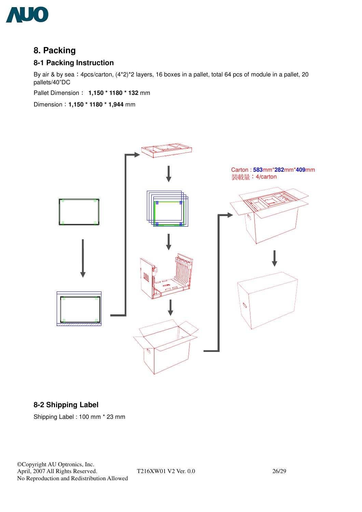

# **8. Packing**

#### **8-1 Packing Instruction**

By air & by sea: 4pcs/carton, (4\*2)\*2 layers, 16 boxes in a pallet, total 64 pcs of module in a pallet, 20 pallets/40"DC

Pallet Dimension **1,150 \* 1180 \* 132** mm

Dimension **1,150 \* 1180 \* 1,944** mm



## **8-2 Shipping Label**

Shipping Label : 100 mm \* 23 mm

©Copyright AU Optronics, Inc. April, 2007 All Rights Reserved. T216XW01 V2 Ver. 0.0 26/29 No Reproduction and Redistribution Allowed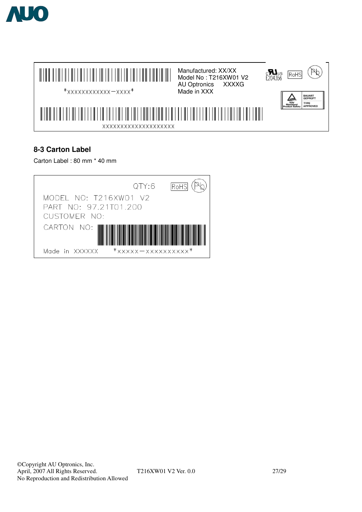



## **8-3 Carton Label**

Carton Label : 80 mm \* 40 mm

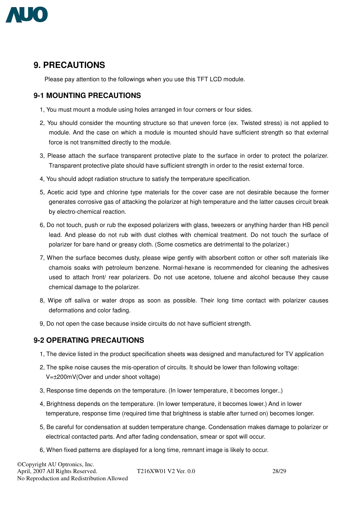

## **9. PRECAUTIONS**

Please pay attention to the followings when you use this TFT LCD module.

## **9-1 MOUNTING PRECAUTIONS**

- 1, You must mount a module using holes arranged in four corners or four sides.
- 2, You should consider the mounting structure so that uneven force (ex. Twisted stress) is not applied to module. And the case on which a module is mounted should have sufficient strength so that external force is not transmitted directly to the module.
- 3, Please attach the surface transparent protective plate to the surface in order to protect the polarizer. Transparent protective plate should have sufficient strength in order to the resist external force.
- 4, You should adopt radiation structure to satisfy the temperature specification.
- 5, Acetic acid type and chlorine type materials for the cover case are not desirable because the former generates corrosive gas of attacking the polarizer at high temperature and the latter causes circuit break by electro-chemical reaction.
- 6, Do not touch, push or rub the exposed polarizers with glass, tweezers or anything harder than HB pencil lead. And please do not rub with dust clothes with chemical treatment. Do not touch the surface of polarizer for bare hand or greasy cloth. (Some cosmetics are detrimental to the polarizer.)
- 7, When the surface becomes dusty, please wipe gently with absorbent cotton or other soft materials like chamois soaks with petroleum benzene. Normal-hexane is recommended for cleaning the adhesives used to attach front/ rear polarizers. Do not use acetone, toluene and alcohol because they cause chemical damage to the polarizer.
- 8, Wipe off saliva or water drops as soon as possible. Their long time contact with polarizer causes deformations and color fading.
- 9, Do not open the case because inside circuits do not have sufficient strength.

#### **9-2 OPERATING PRECAUTIONS**

- 1, The device listed in the product specification sheets was designed and manufactured for TV application
- 2, The spike noise causes the mis-operation of circuits. It should be lower than following voltage: V=±200mV(Over and under shoot voltage)
- 3, Response time depends on the temperature. (In lower temperature, it becomes longer..)
- 4, Brightness depends on the temperature. (In lower temperature, it becomes lower.) And in lower temperature, response time (required time that brightness is stable after turned on) becomes longer.
- 5, Be careful for condensation at sudden temperature change. Condensation makes damage to polarizer or electrical contacted parts. And after fading condensation, smear or spot will occur.
- 6, When fixed patterns are displayed for a long time, remnant image is likely to occur.